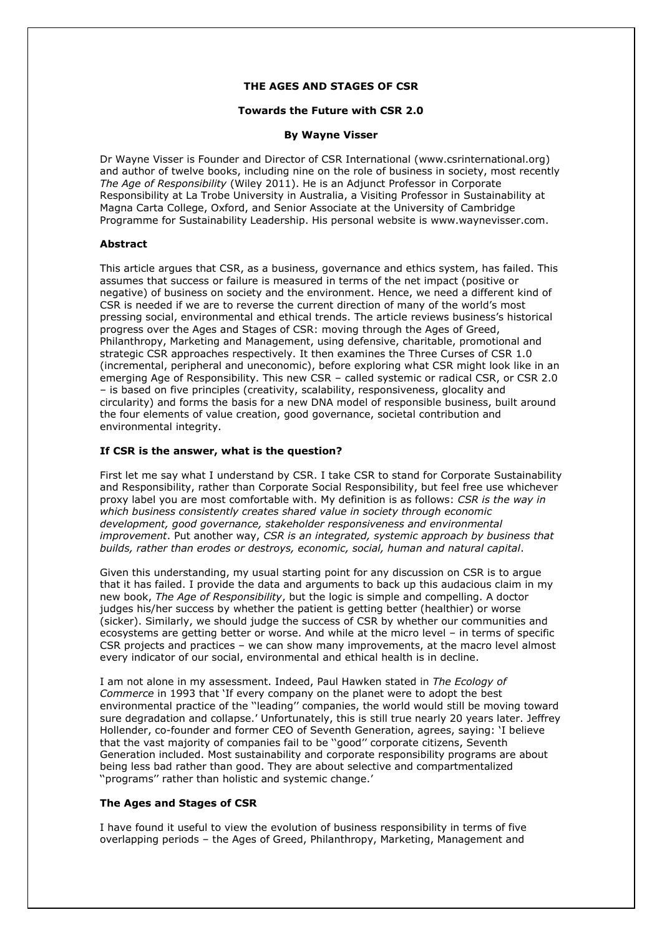## **THE AGES AND STAGES OF CSR**

## **Towards the Future with CSR 2.0**

#### **By Wayne Visser**

Dr Wayne Visser is Founder and Director of CSR International [\(www.csrinternational.org\)](http://www.csrinternational.org/) and author of twelve books, including nine on the role of business in society, most recently *The Age of Responsibility* (Wiley 2011). He is an Adjunct Professor in Corporate Responsibility at La Trobe University in Australia, a Visiting Professor in Sustainability at Magna Carta College, Oxford, and Senior Associate at the University of Cambridge Programme for Sustainability Leadership. His personal website is [www.waynevisser.com.](http://www.waynevisser.com/)

## **Abstract**

This article argues that CSR, as a business, governance and ethics system, has failed. This assumes that success or failure is measured in terms of the net impact (positive or negative) of business on society and the environment. Hence, we need a different kind of CSR is needed if we are to reverse the current direction of many of the world's most pressing social, environmental and ethical trends. The article reviews business's historical progress over the Ages and Stages of CSR: moving through the Ages of Greed, Philanthropy, Marketing and Management, using defensive, charitable, promotional and strategic CSR approaches respectively. It then examines the Three Curses of CSR 1.0 (incremental, peripheral and uneconomic), before exploring what CSR might look like in an emerging Age of Responsibility. This new CSR – called systemic or radical CSR, or CSR 2.0 – is based on five principles (creativity, scalability, responsiveness, glocality and circularity) and forms the basis for a new DNA model of responsible business, built around the four elements of value creation, good governance, societal contribution and environmental integrity.

#### **If CSR is the answer, what is the question?**

First let me say what I understand by CSR. I take CSR to stand for Corporate Sustainability and Responsibility, rather than Corporate Social Responsibility, but feel free use whichever proxy label you are most comfortable with. My definition is as follows: *CSR is the way in which business consistently creates shared value in society through economic development, good governance, stakeholder responsiveness and environmental improvement*. Put another way, *CSR is an integrated, systemic approach by business that builds, rather than erodes or destroys, economic, social, human and natural capital*.

Given this understanding, my usual starting point for any discussion on CSR is to argue that it has failed. I provide the data and arguments to back up this audacious claim in my new book, *The Age of Responsibility*, but the logic is simple and compelling. A doctor judges his/her success by whether the patient is getting better (healthier) or worse (sicker). Similarly, we should judge the success of CSR by whether our communities and ecosystems are getting better or worse. And while at the micro level – in terms of specific CSR projects and practices – we can show many improvements, at the macro level almost every indicator of our social, environmental and ethical health is in decline.

I am not alone in my assessment. Indeed, Paul Hawken stated in *The Ecology of Commerce* in 1993 that 'If every company on the planet were to adopt the best environmental practice of the ''leading'' companies, the world would still be moving toward sure degradation and collapse.' Unfortunately, this is still true nearly 20 years later. Jeffrey Hollender, co-founder and former CEO of Seventh Generation, agrees, saying: 'I believe that the vast majority of companies fail to be ''good'' corporate citizens, Seventh Generation included. Most sustainability and corporate responsibility programs are about being less bad rather than good. They are about selective and compartmentalized ''programs'' rather than holistic and systemic change.'

#### **The Ages and Stages of CSR**

I have found it useful to view the evolution of business responsibility in terms of five overlapping periods – the Ages of Greed, Philanthropy, Marketing, Management and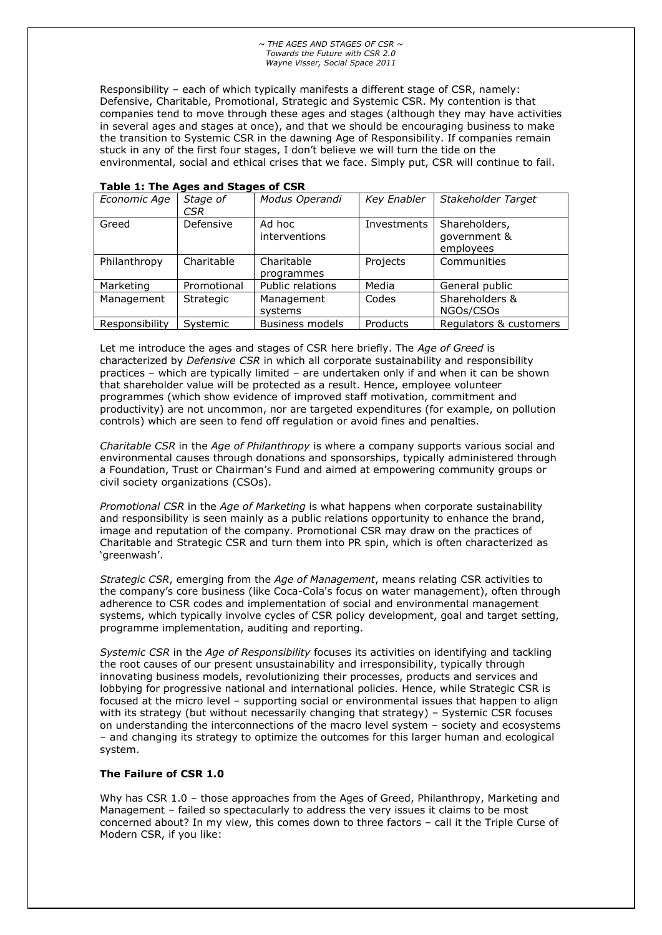Responsibility – each of which typically manifests a different stage of CSR, namely: Defensive, Charitable, Promotional, Strategic and Systemic CSR. My contention is that companies tend to move through these ages and stages (although they may have activities in several ages and stages at once), and that we should be encouraging business to make the transition to Systemic CSR in the dawning Age of Responsibility. If companies remain stuck in any of the first four stages, I don't believe we will turn the tide on the environmental, social and ethical crises that we face. Simply put, CSR will continue to fail.

| $1401C$ 1: The Ages and Stages of GSR |                  |                          |                    |                                            |  |  |
|---------------------------------------|------------------|--------------------------|--------------------|--------------------------------------------|--|--|
| Economic Age                          | Stage of<br>CSR  | Modus Operandi           | <b>Key Enabler</b> | Stakeholder Target                         |  |  |
| Greed                                 | Defensive        | Ad hoc<br>interventions  | Investments        | Shareholders,<br>government &<br>employees |  |  |
| Philanthropy                          | Charitable       | Charitable<br>programmes | Projects           | Communities                                |  |  |
| Marketing                             | Promotional      | Public relations         | Media              | General public                             |  |  |
| Management                            | <b>Strategic</b> | Management<br>systems    | Codes              | Shareholders &<br>NGOs/CSOs                |  |  |
| Responsibility                        | Systemic         | <b>Business models</b>   | Products           | Regulators & customers                     |  |  |

## **Table 1: The Ages and Stages of CSR**

Let me introduce the ages and stages of CSR here briefly. The *Age of Greed* is characterized by *Defensive CSR* in which all corporate sustainability and responsibility practices – which are typically limited – are undertaken only if and when it can be shown that shareholder value will be protected as a result. Hence, employee volunteer programmes (which show evidence of improved staff motivation, commitment and productivity) are not uncommon, nor are targeted expenditures (for example, on pollution controls) which are seen to fend off regulation or avoid fines and penalties.

*Charitable CSR* in the *Age of Philanthropy* is where a company supports various social and environmental causes through donations and sponsorships, typically administered through a Foundation, Trust or Chairman's Fund and aimed at empowering community groups or civil society organizations (CSOs).

*Promotional CSR* in the *Age of Marketing* is what happens when corporate sustainability and responsibility is seen mainly as a public relations opportunity to enhance the brand, image and reputation of the company. Promotional CSR may draw on the practices of Charitable and Strategic CSR and turn them into PR spin, which is often characterized as 'greenwash'.

*Strategic CSR*, emerging from the *Age of Management*, means relating CSR activities to the company's core business (like Coca-Cola's focus on water management), often through adherence to CSR codes and implementation of social and environmental management systems, which typically involve cycles of CSR policy development, goal and target setting, programme implementation, auditing and reporting.

*Systemic CSR* in the *Age of Responsibility* focuses its activities on identifying and tackling the root causes of our present unsustainability and irresponsibility, typically through innovating business models, revolutionizing their processes, products and services and lobbying for progressive national and international policies. Hence, while Strategic CSR is focused at the micro level – supporting social or environmental issues that happen to align with its strategy (but without necessarily changing that strategy) – Systemic CSR focuses on understanding the interconnections of the macro level system – society and ecosystems – and changing its strategy to optimize the outcomes for this larger human and ecological system.

## **The Failure of CSR 1.0**

Why has CSR 1.0 – those approaches from the Ages of Greed, Philanthropy, Marketing and Management – failed so spectacularly to address the very issues it claims to be most concerned about? In my view, this comes down to three factors – call it the Triple Curse of Modern CSR, if you like: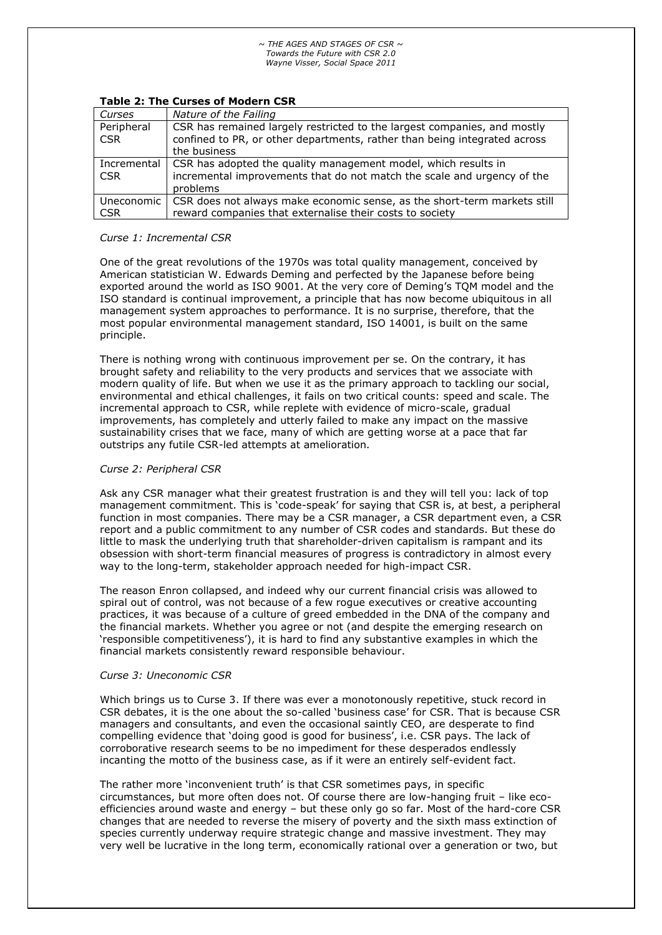| Curses                    | Nature of the Failing                                                                                                                                                 |
|---------------------------|-----------------------------------------------------------------------------------------------------------------------------------------------------------------------|
| Peripheral<br><b>CSR</b>  | CSR has remained largely restricted to the largest companies, and mostly<br>confined to PR, or other departments, rather than being integrated across<br>the business |
| Incremental<br><b>CSR</b> | CSR has adopted the quality management model, which results in<br>incremental improvements that do not match the scale and urgency of the<br>problems                 |
| CSR                       | Uneconomic   CSR does not always make economic sense, as the short-term markets still<br>reward companies that externalise their costs to society                     |

## **Table 2: The Curses of Modern CSR**

#### *Curse 1: Incremental CSR*

One of the great revolutions of the 1970s was total quality management, conceived by American statistician W. Edwards Deming and perfected by the Japanese before being exported around the world as ISO 9001. At the very core of Deming's TQM model and the ISO standard is continual improvement, a principle that has now become ubiquitous in all management system approaches to performance. It is no surprise, therefore, that the most popular environmental management standard, ISO 14001, is built on the same principle.

There is nothing wrong with continuous improvement per se. On the contrary, it has brought safety and reliability to the very products and services that we associate with modern quality of life. But when we use it as the primary approach to tackling our social, environmental and ethical challenges, it fails on two critical counts: speed and scale. The incremental approach to CSR, while replete with evidence of micro-scale, gradual improvements, has completely and utterly failed to make any impact on the massive sustainability crises that we face, many of which are getting worse at a pace that far outstrips any futile CSR-led attempts at amelioration.

## *Curse 2: Peripheral CSR*

Ask any CSR manager what their greatest frustration is and they will tell you: lack of top management commitment. This is 'code-speak' for saying that CSR is, at best, a peripheral function in most companies. There may be a CSR manager, a CSR department even, a CSR report and a public commitment to any number of CSR codes and standards. But these do little to mask the underlying truth that shareholder-driven capitalism is rampant and its obsession with short-term financial measures of progress is contradictory in almost every way to the long-term, stakeholder approach needed for high-impact CSR.

The reason Enron collapsed, and indeed why our current financial crisis was allowed to spiral out of control, was not because of a few rogue executives or creative accounting practices, it was because of a culture of greed embedded in the DNA of the company and the financial markets. Whether you agree or not (and despite the emerging research on 'responsible competitiveness'), it is hard to find any substantive examples in which the financial markets consistently reward responsible behaviour.

#### *Curse 3: Uneconomic CSR*

Which brings us to Curse 3. If there was ever a monotonously repetitive, stuck record in CSR debates, it is the one about the so-called 'business case' for CSR. That is because CSR managers and consultants, and even the occasional saintly CEO, are desperate to find compelling evidence that 'doing good is good for business', i.e. CSR pays. The lack of corroborative research seems to be no impediment for these desperados endlessly incanting the motto of the business case, as if it were an entirely self-evident fact.

The rather more 'inconvenient truth' is that CSR sometimes pays, in specific circumstances, but more often does not. Of course there are low-hanging fruit – like ecoefficiencies around waste and energy – but these only go so far. Most of the hard-core CSR changes that are needed to reverse the misery of poverty and the sixth mass extinction of species currently underway require strategic change and massive investment. They may very well be lucrative in the long term, economically rational over a generation or two, but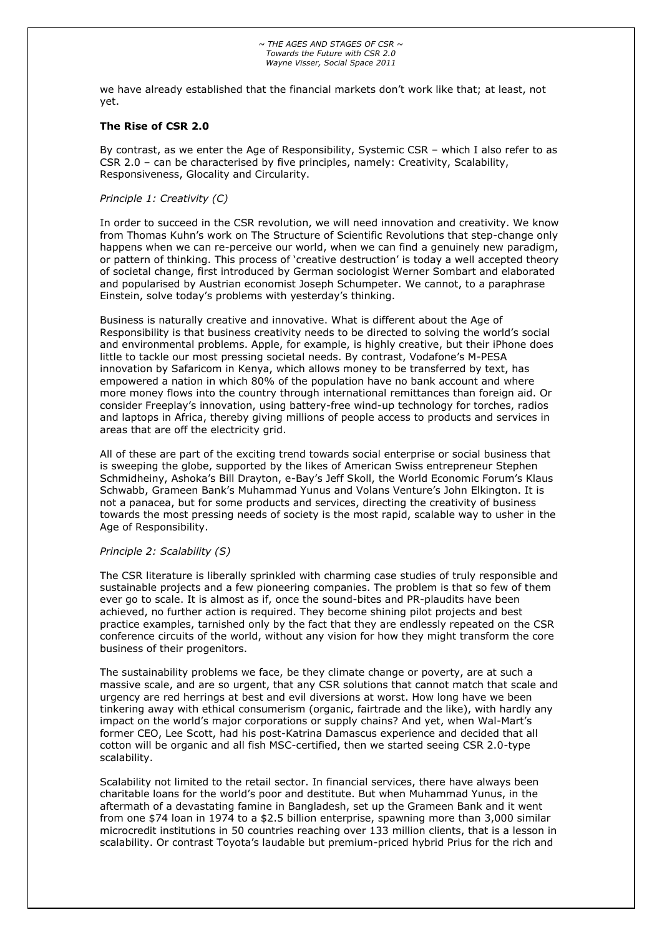we have already established that the financial markets don't work like that; at least, not yet.

## **The Rise of CSR 2.0**

By contrast, as we enter the Age of Responsibility, Systemic CSR – which I also refer to as CSR 2.0 – can be characterised by five principles, namely: Creativity, Scalability, Responsiveness, Glocality and Circularity.

## *Principle 1: Creativity (C)*

In order to succeed in the CSR revolution, we will need innovation and creativity. We know from Thomas Kuhn's work on The Structure of Scientific Revolutions that step-change only happens when we can re-perceive our world, when we can find a genuinely new paradigm, or pattern of thinking. This process of 'creative destruction' is today a well accepted theory of societal change, first introduced by German sociologist Werner Sombart and elaborated and popularised by Austrian economist Joseph Schumpeter. We cannot, to a paraphrase Einstein, solve today's problems with yesterday's thinking.

Business is naturally creative and innovative. What is different about the Age of Responsibility is that business creativity needs to be directed to solving the world's social and environmental problems. Apple, for example, is highly creative, but their iPhone does little to tackle our most pressing societal needs. By contrast, Vodafone's M-PESA innovation by Safaricom in Kenya, which allows money to be transferred by text, has empowered a nation in which 80% of the population have no bank account and where more money flows into the country through international remittances than foreign aid. Or consider Freeplay's innovation, using battery-free wind-up technology for torches, radios and laptops in Africa, thereby giving millions of people access to products and services in areas that are off the electricity grid.

All of these are part of the exciting trend towards social enterprise or social business that is sweeping the globe, supported by the likes of American Swiss entrepreneur Stephen Schmidheiny, Ashoka's Bill Drayton, e-Bay's Jeff Skoll, the World Economic Forum's Klaus Schwabb, Grameen Bank's Muhammad Yunus and Volans Venture's John Elkington. It is not a panacea, but for some products and services, directing the creativity of business towards the most pressing needs of society is the most rapid, scalable way to usher in the Age of Responsibility.

#### *Principle 2: Scalability (S)*

The CSR literature is liberally sprinkled with charming case studies of truly responsible and sustainable projects and a few pioneering companies. The problem is that so few of them ever go to scale. It is almost as if, once the sound-bites and PR-plaudits have been achieved, no further action is required. They become shining pilot projects and best practice examples, tarnished only by the fact that they are endlessly repeated on the CSR conference circuits of the world, without any vision for how they might transform the core business of their progenitors.

The sustainability problems we face, be they climate change or poverty, are at such a massive scale, and are so urgent, that any CSR solutions that cannot match that scale and urgency are red herrings at best and evil diversions at worst. How long have we been tinkering away with ethical consumerism (organic, fairtrade and the like), with hardly any impact on the world's major corporations or supply chains? And yet, when Wal-Mart's former CEO, Lee Scott, had his post-Katrina Damascus experience and decided that all cotton will be organic and all fish MSC-certified, then we started seeing CSR 2.0-type scalability.

Scalability not limited to the retail sector. In financial services, there have always been charitable loans for the world's poor and destitute. But when Muhammad Yunus, in the aftermath of a devastating famine in Bangladesh, set up the Grameen Bank and it went from one \$74 loan in 1974 to a \$2.5 billion enterprise, spawning more than 3,000 similar microcredit institutions in 50 countries reaching over 133 million clients, that is a lesson in scalability. Or contrast Toyota's laudable but premium-priced hybrid Prius for the rich and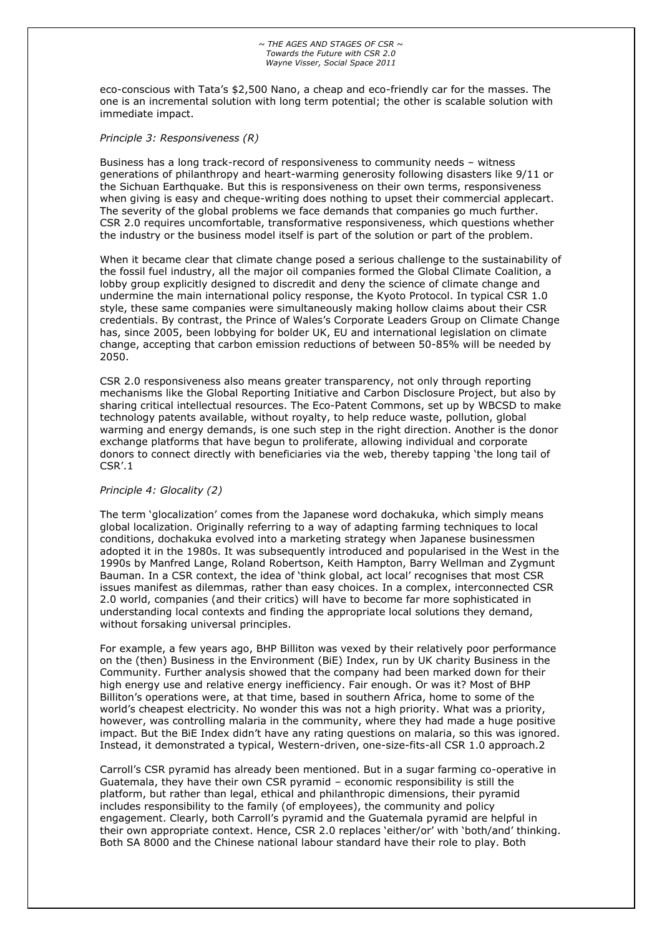eco-conscious with Tata's \$2,500 Nano, a cheap and eco-friendly car for the masses. The one is an incremental solution with long term potential; the other is scalable solution with immediate impact.

## *Principle 3: Responsiveness (R)*

Business has a long track-record of responsiveness to community needs – witness generations of philanthropy and heart-warming generosity following disasters like 9/11 or the Sichuan Earthquake. But this is responsiveness on their own terms, responsiveness when giving is easy and cheque-writing does nothing to upset their commercial applecart. The severity of the global problems we face demands that companies go much further. CSR 2.0 requires uncomfortable, transformative responsiveness, which questions whether the industry or the business model itself is part of the solution or part of the problem.

When it became clear that climate change posed a serious challenge to the sustainability of the fossil fuel industry, all the major oil companies formed the Global Climate Coalition, a lobby group explicitly designed to discredit and deny the science of climate change and undermine the main international policy response, the Kyoto Protocol. In typical CSR 1.0 style, these same companies were simultaneously making hollow claims about their CSR credentials. By contrast, the Prince of Wales's Corporate Leaders Group on Climate Change has, since 2005, been lobbying for bolder UK, EU and international legislation on climate change, accepting that carbon emission reductions of between 50-85% will be needed by 2050.

CSR 2.0 responsiveness also means greater transparency, not only through reporting mechanisms like the Global Reporting Initiative and Carbon Disclosure Project, but also by sharing critical intellectual resources. The Eco-Patent Commons, set up by WBCSD to make technology patents available, without royalty, to help reduce waste, pollution, global warming and energy demands, is one such step in the right direction. Another is the donor exchange platforms that have begun to proliferate, allowing individual and corporate donors to connect directly with beneficiaries via the web, thereby tapping 'the long tail of CSR'.1

#### *Principle 4: Glocality (2)*

The term 'glocalization' comes from the Japanese word dochakuka, which simply means global localization. Originally referring to a way of adapting farming techniques to local conditions, dochakuka evolved into a marketing strategy when Japanese businessmen adopted it in the 1980s. It was subsequently introduced and popularised in the West in the 1990s by Manfred Lange, Roland Robertson, Keith Hampton, Barry Wellman and Zygmunt Bauman. In a CSR context, the idea of 'think global, act local' recognises that most CSR issues manifest as dilemmas, rather than easy choices. In a complex, interconnected CSR 2.0 world, companies (and their critics) will have to become far more sophisticated in understanding local contexts and finding the appropriate local solutions they demand, without forsaking universal principles.

For example, a few years ago, BHP Billiton was vexed by their relatively poor performance on the (then) Business in the Environment (BiE) Index, run by UK charity Business in the Community. Further analysis showed that the company had been marked down for their high energy use and relative energy inefficiency. Fair enough. Or was it? Most of BHP Billiton's operations were, at that time, based in southern Africa, home to some of the world's cheapest electricity. No wonder this was not a high priority. What was a priority, however, was controlling malaria in the community, where they had made a huge positive impact. But the BiE Index didn't have any rating questions on malaria, so this was ignored. Instead, it demonstrated a typical, Western-driven, one-size-fits-all CSR 1.0 approach.2

Carroll's CSR pyramid has already been mentioned. But in a sugar farming co-operative in Guatemala, they have their own CSR pyramid – economic responsibility is still the platform, but rather than legal, ethical and philanthropic dimensions, their pyramid includes responsibility to the family (of employees), the community and policy engagement. Clearly, both Carroll's pyramid and the Guatemala pyramid are helpful in their own appropriate context. Hence, CSR 2.0 replaces 'either/or' with 'both/and' thinking. Both SA 8000 and the Chinese national labour standard have their role to play. Both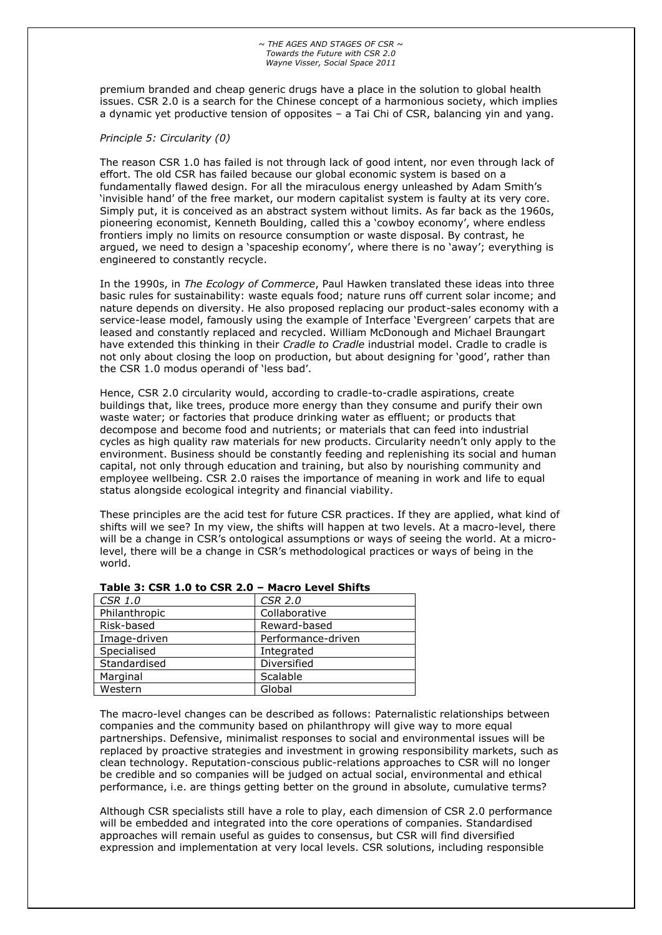premium branded and cheap generic drugs have a place in the solution to global health issues. CSR 2.0 is a search for the Chinese concept of a harmonious society, which implies a dynamic yet productive tension of opposites – a Tai Chi of CSR, balancing yin and yang.

## *Principle 5: Circularity (0)*

The reason CSR 1.0 has failed is not through lack of good intent, nor even through lack of effort. The old CSR has failed because our global economic system is based on a fundamentally flawed design. For all the miraculous energy unleashed by Adam Smith's 'invisible hand' of the free market, our modern capitalist system is faulty at its very core. Simply put, it is conceived as an abstract system without limits. As far back as the 1960s, pioneering economist, Kenneth Boulding, called this a 'cowboy economy', where endless frontiers imply no limits on resource consumption or waste disposal. By contrast, he argued, we need to design a 'spaceship economy', where there is no 'away'; everything is engineered to constantly recycle.

In the 1990s, in *The Ecology of Commerce*, Paul Hawken translated these ideas into three basic rules for sustainability: waste equals food; nature runs off current solar income; and nature depends on diversity. He also proposed replacing our product-sales economy with a service-lease model, famously using the example of Interface 'Evergreen' carpets that are leased and constantly replaced and recycled. William McDonough and Michael Braungart have extended this thinking in their *Cradle to Cradle* industrial model. Cradle to cradle is not only about closing the loop on production, but about designing for 'good', rather than the CSR 1.0 modus operandi of 'less bad'.

Hence, CSR 2.0 circularity would, according to cradle-to-cradle aspirations, create buildings that, like trees, produce more energy than they consume and purify their own waste water; or factories that produce drinking water as effluent; or products that decompose and become food and nutrients; or materials that can feed into industrial cycles as high quality raw materials for new products. Circularity needn't only apply to the environment. Business should be constantly feeding and replenishing its social and human capital, not only through education and training, but also by nourishing community and employee wellbeing. CSR 2.0 raises the importance of meaning in work and life to equal status alongside ecological integrity and financial viability.

These principles are the acid test for future CSR practices. If they are applied, what kind of shifts will we see? In my view, the shifts will happen at two levels. At a macro-level, there will be a change in CSR's ontological assumptions or ways of seeing the world. At a microlevel, there will be a change in CSR's methodological practices or ways of being in the world.

| CSR 1.0       | <b>CSR 2.0</b>     |
|---------------|--------------------|
| Philanthropic | Collaborative      |
| Risk-based    | Reward-based       |
| Image-driven  | Performance-driven |
| Specialised   | Integrated         |
| Standardised  | Diversified        |
| Marginal      | Scalable           |
| Western       | Global             |

|  |  |  |  |  |  | Table 3: CSR 1.0 to CSR 2.0 - Macro Level Shifts |  |  |
|--|--|--|--|--|--|--------------------------------------------------|--|--|
|--|--|--|--|--|--|--------------------------------------------------|--|--|

The macro-level changes can be described as follows: Paternalistic relationships between companies and the community based on philanthropy will give way to more equal partnerships. Defensive, minimalist responses to social and environmental issues will be replaced by proactive strategies and investment in growing responsibility markets, such as clean technology. Reputation-conscious public-relations approaches to CSR will no longer be credible and so companies will be judged on actual social, environmental and ethical performance, i.e. are things getting better on the ground in absolute, cumulative terms?

Although CSR specialists still have a role to play, each dimension of CSR 2.0 performance will be embedded and integrated into the core operations of companies. Standardised approaches will remain useful as guides to consensus, but CSR will find diversified expression and implementation at very local levels. CSR solutions, including responsible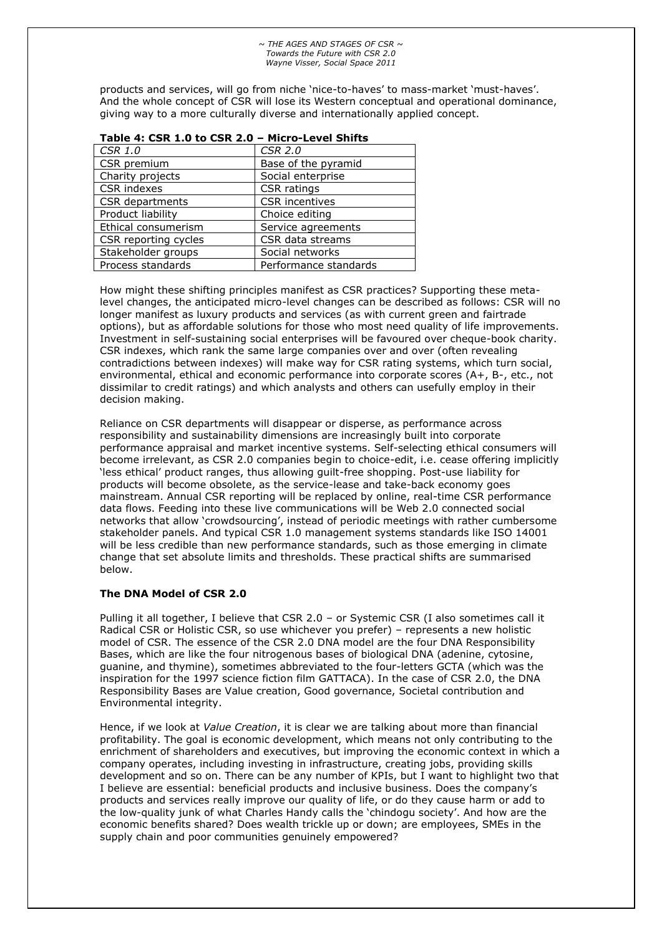products and services, will go from niche 'nice-to-haves' to mass-market 'must-haves'. And the whole concept of CSR will lose its Western conceptual and operational dominance, giving way to a more culturally diverse and internationally applied concept.

|                      | гисто семенэнне       |
|----------------------|-----------------------|
| CSR 1.0              | <b>CSR 2.0</b>        |
| CSR premium          | Base of the pyramid   |
| Charity projects     | Social enterprise     |
| CSR indexes          | CSR ratings           |
| CSR departments      | <b>CSR</b> incentives |
| Product liability    | Choice editing        |
| Ethical consumerism  | Service agreements    |
| CSR reporting cycles | CSR data streams      |
| Stakeholder groups   | Social networks       |
| Process standards    | Performance standards |

#### **Table 4: CSR 1.0 to CSR 2.0 – Micro-Level Shifts**

How might these shifting principles manifest as CSR practices? Supporting these metalevel changes, the anticipated micro-level changes can be described as follows: CSR will no longer manifest as luxury products and services (as with current green and fairtrade options), but as affordable solutions for those who most need quality of life improvements. Investment in self-sustaining social enterprises will be favoured over cheque-book charity. CSR indexes, which rank the same large companies over and over (often revealing contradictions between indexes) will make way for CSR rating systems, which turn social, environmental, ethical and economic performance into corporate scores (A+, B-, etc., not dissimilar to credit ratings) and which analysts and others can usefully employ in their decision making.

Reliance on CSR departments will disappear or disperse, as performance across responsibility and sustainability dimensions are increasingly built into corporate performance appraisal and market incentive systems. Self-selecting ethical consumers will become irrelevant, as CSR 2.0 companies begin to choice-edit, i.e. cease offering implicitly 'less ethical' product ranges, thus allowing guilt-free shopping. Post-use liability for products will become obsolete, as the service-lease and take-back economy goes mainstream. Annual CSR reporting will be replaced by online, real-time CSR performance data flows. Feeding into these live communications will be Web 2.0 connected social networks that allow 'crowdsourcing', instead of periodic meetings with rather cumbersome stakeholder panels. And typical CSR 1.0 management systems standards like ISO 14001 will be less credible than new performance standards, such as those emerging in climate change that set absolute limits and thresholds. These practical shifts are summarised below.

## **The DNA Model of CSR 2.0**

Pulling it all together, I believe that CSR 2.0 – or Systemic CSR (I also sometimes call it Radical CSR or Holistic CSR, so use whichever you prefer) – represents a new holistic model of CSR. The essence of the CSR 2.0 DNA model are the four DNA Responsibility Bases, which are like the four nitrogenous bases of biological DNA (adenine, cytosine, guanine, and thymine), sometimes abbreviated to the four-letters GCTA (which was the inspiration for the 1997 science fiction film GATTACA). In the case of CSR 2.0, the DNA Responsibility Bases are Value creation, Good governance, Societal contribution and Environmental integrity.

Hence, if we look at *Value Creation*, it is clear we are talking about more than financial profitability. The goal is economic development, which means not only contributing to the enrichment of shareholders and executives, but improving the economic context in which a company operates, including investing in infrastructure, creating jobs, providing skills development and so on. There can be any number of KPIs, but I want to highlight two that I believe are essential: beneficial products and inclusive business. Does the company's products and services really improve our quality of life, or do they cause harm or add to the low-quality junk of what Charles Handy calls the 'chindogu society'. And how are the economic benefits shared? Does wealth trickle up or down; are employees, SMEs in the supply chain and poor communities genuinely empowered?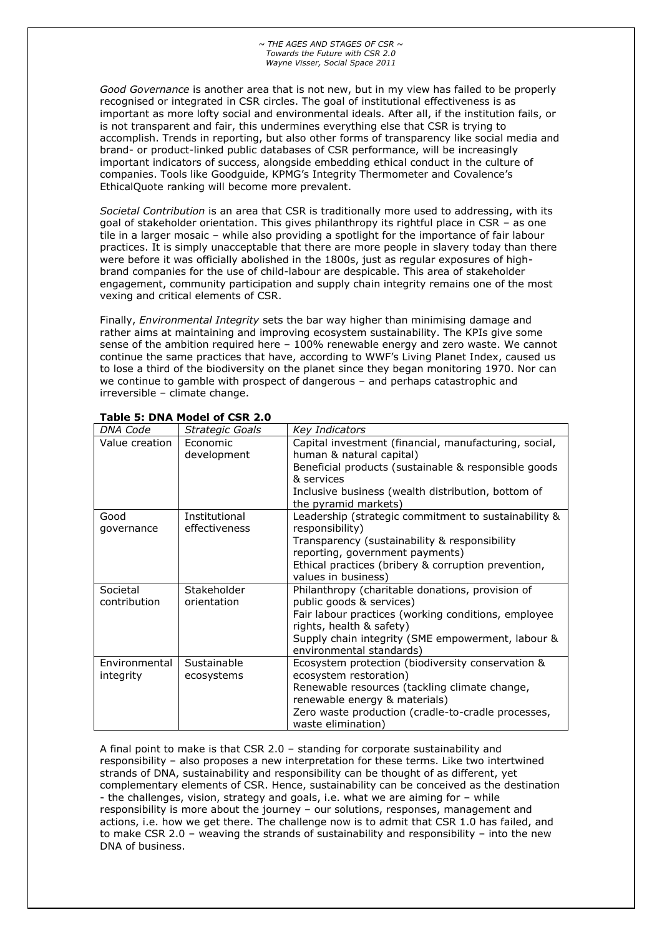*Good Governance* is another area that is not new, but in my view has failed to be properly recognised or integrated in CSR circles. The goal of institutional effectiveness is as important as more lofty social and environmental ideals. After all, if the institution fails, or is not transparent and fair, this undermines everything else that CSR is trying to accomplish. Trends in reporting, but also other forms of transparency like social media and brand- or product-linked public databases of CSR performance, will be increasingly important indicators of success, alongside embedding ethical conduct in the culture of companies. Tools like Goodguide, KPMG's Integrity Thermometer and Covalence's EthicalQuote ranking will become more prevalent.

*Societal Contribution* is an area that CSR is traditionally more used to addressing, with its goal of stakeholder orientation. This gives philanthropy its rightful place in CSR – as one tile in a larger mosaic – while also providing a spotlight for the importance of fair labour practices. It is simply unacceptable that there are more people in slavery today than there were before it was officially abolished in the 1800s, just as regular exposures of highbrand companies for the use of child-labour are despicable. This area of stakeholder engagement, community participation and supply chain integrity remains one of the most vexing and critical elements of CSR.

Finally, *Environmental Integrity* sets the bar way higher than minimising damage and rather aims at maintaining and improving ecosystem sustainability. The KPIs give some sense of the ambition required here – 100% renewable energy and zero waste. We cannot continue the same practices that have, according to WWF's Living Planet Index, caused us to lose a third of the biodiversity on the planet since they began monitoring 1970. Nor can we continue to gamble with prospect of dangerous – and perhaps catastrophic and irreversible – climate change.

| <b>DNA Code</b>            | <b>Strategic Goals</b>         | <b>Key Indicators</b>                                                                                                                                                                                                                            |
|----------------------------|--------------------------------|--------------------------------------------------------------------------------------------------------------------------------------------------------------------------------------------------------------------------------------------------|
| Value creation             | Economic<br>development        | Capital investment (financial, manufacturing, social,<br>human & natural capital)<br>Beneficial products (sustainable & responsible goods<br>& services<br>Inclusive business (wealth distribution, bottom of<br>the pyramid markets)            |
| Good<br>governance         | Institutional<br>effectiveness | Leadership (strategic commitment to sustainability &<br>responsibility)<br>Transparency (sustainability & responsibility<br>reporting, government payments)<br>Ethical practices (bribery & corruption prevention,<br>values in business)        |
| Societal<br>contribution   | Stakeholder<br>orientation     | Philanthropy (charitable donations, provision of<br>public goods & services)<br>Fair labour practices (working conditions, employee<br>rights, health & safety)<br>Supply chain integrity (SME empowerment, labour &<br>environmental standards) |
| Environmental<br>integrity | Sustainable<br>ecosystems      | Ecosystem protection (biodiversity conservation &<br>ecosystem restoration)<br>Renewable resources (tackling climate change,<br>renewable energy & materials)<br>Zero waste production (cradle-to-cradle processes,<br>waste elimination)        |

**Table 5: DNA Model of CSR 2.0**

A final point to make is that CSR 2.0 – standing for corporate sustainability and responsibility – also proposes a new interpretation for these terms. Like two intertwined strands of DNA, sustainability and responsibility can be thought of as different, yet complementary elements of CSR. Hence, sustainability can be conceived as the destination - the challenges, vision, strategy and goals, i.e. what we are aiming for – while responsibility is more about the journey – our solutions, responses, management and actions, i.e. how we get there. The challenge now is to admit that CSR 1.0 has failed, and to make CSR 2.0 – weaving the strands of sustainability and responsibility – into the new DNA of business.